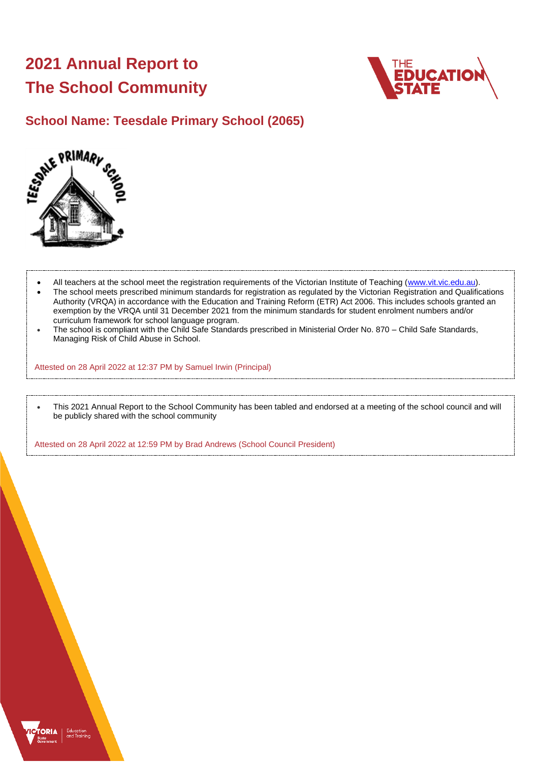# **2021 Annual Report to The School Community**



## **School Name: Teesdale Primary School (2065)**



- All teachers at the school meet the registration requirements of the Victorian Institute of Teaching [\(www.vit.vic.edu.au\)](https://www.vit.vic.edu.au/).
- The school meets prescribed minimum standards for registration as regulated by the Victorian Registration and Qualifications Authority (VRQA) in accordance with the Education and Training Reform (ETR) Act 2006. This includes schools granted an exemption by the VRQA until 31 December 2021 from the minimum standards for student enrolment numbers and/or curriculum framework for school language program.
- The school is compliant with the Child Safe Standards prescribed in Ministerial Order No. 870 Child Safe Standards, Managing Risk of Child Abuse in School.

Attested on 28 April 2022 at 12:37 PM by Samuel Irwin (Principal)

• This 2021 Annual Report to the School Community has been tabled and endorsed at a meeting of the school council and will be publicly shared with the school community

Attested on 28 April 2022 at 12:59 PM by Brad Andrews (School Council President)

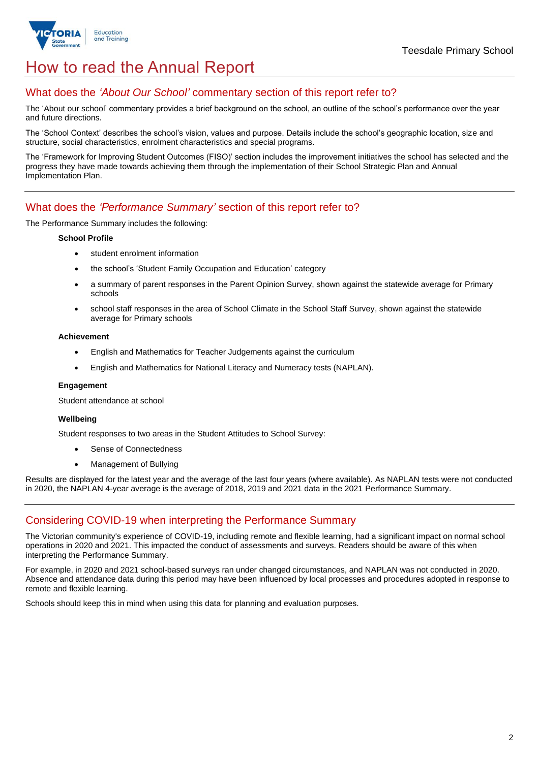

## How to read the Annual Report

### What does the *'About Our School'* commentary section of this report refer to?

The 'About our school' commentary provides a brief background on the school, an outline of the school's performance over the year and future directions.

The 'School Context' describes the school's vision, values and purpose. Details include the school's geographic location, size and structure, social characteristics, enrolment characteristics and special programs.

The 'Framework for Improving Student Outcomes (FISO)' section includes the improvement initiatives the school has selected and the progress they have made towards achieving them through the implementation of their School Strategic Plan and Annual Implementation Plan.

### What does the *'Performance Summary'* section of this report refer to?

The Performance Summary includes the following:

#### **School Profile**

- student enrolment information
- the school's 'Student Family Occupation and Education' category
- a summary of parent responses in the Parent Opinion Survey, shown against the statewide average for Primary schools
- school staff responses in the area of School Climate in the School Staff Survey, shown against the statewide average for Primary schools

#### **Achievement**

- English and Mathematics for Teacher Judgements against the curriculum
- English and Mathematics for National Literacy and Numeracy tests (NAPLAN).

#### **Engagement**

Student attendance at school

#### **Wellbeing**

Student responses to two areas in the Student Attitudes to School Survey:

- Sense of Connectedness
- Management of Bullying

Results are displayed for the latest year and the average of the last four years (where available). As NAPLAN tests were not conducted in 2020, the NAPLAN 4-year average is the average of 2018, 2019 and 2021 data in the 2021 Performance Summary.

## Considering COVID-19 when interpreting the Performance Summary

The Victorian community's experience of COVID-19, including remote and flexible learning, had a significant impact on normal school operations in 2020 and 2021. This impacted the conduct of assessments and surveys. Readers should be aware of this when interpreting the Performance Summary.

For example, in 2020 and 2021 school-based surveys ran under changed circumstances, and NAPLAN was not conducted in 2020. Absence and attendance data during this period may have been influenced by local processes and procedures adopted in response to remote and flexible learning.

Schools should keep this in mind when using this data for planning and evaluation purposes.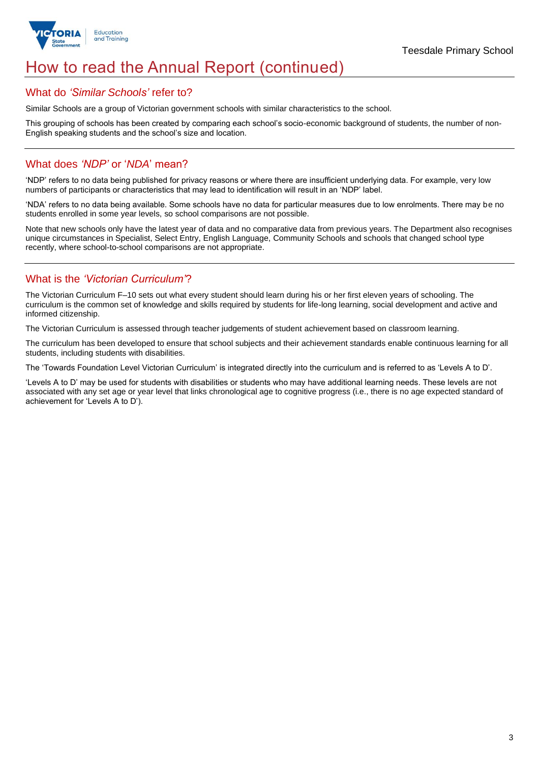

## How to read the Annual Report (continued)

#### What do *'Similar Schools'* refer to?

Similar Schools are a group of Victorian government schools with similar characteristics to the school.

This grouping of schools has been created by comparing each school's socio-economic background of students, the number of non-English speaking students and the school's size and location.

### What does *'NDP'* or '*NDA*' mean?

'NDP' refers to no data being published for privacy reasons or where there are insufficient underlying data. For example, very low numbers of participants or characteristics that may lead to identification will result in an 'NDP' label.

'NDA' refers to no data being available. Some schools have no data for particular measures due to low enrolments. There may be no students enrolled in some year levels, so school comparisons are not possible.

Note that new schools only have the latest year of data and no comparative data from previous years. The Department also recognises unique circumstances in Specialist, Select Entry, English Language, Community Schools and schools that changed school type recently, where school-to-school comparisons are not appropriate.

## What is the *'Victorian Curriculum'*?

The Victorian Curriculum F–10 sets out what every student should learn during his or her first eleven years of schooling. The curriculum is the common set of knowledge and skills required by students for life-long learning, social development and active and informed citizenship.

The Victorian Curriculum is assessed through teacher judgements of student achievement based on classroom learning.

The curriculum has been developed to ensure that school subjects and their achievement standards enable continuous learning for all students, including students with disabilities.

The 'Towards Foundation Level Victorian Curriculum' is integrated directly into the curriculum and is referred to as 'Levels A to D'.

'Levels A to D' may be used for students with disabilities or students who may have additional learning needs. These levels are not associated with any set age or year level that links chronological age to cognitive progress (i.e., there is no age expected standard of achievement for 'Levels A to D').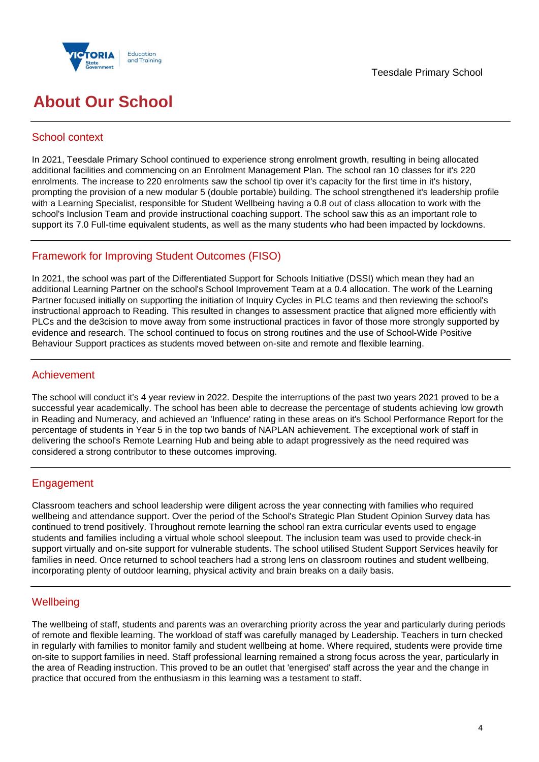



## **About Our School**

## School context

In 2021, Teesdale Primary School continued to experience strong enrolment growth, resulting in being allocated additional facilities and commencing on an Enrolment Management Plan. The school ran 10 classes for it's 220 enrolments. The increase to 220 enrolments saw the school tip over it's capacity for the first time in it's history, prompting the provision of a new modular 5 (double portable) building. The school strengthened it's leadership profile with a Learning Specialist, responsible for Student Wellbeing having a 0.8 out of class allocation to work with the school's Inclusion Team and provide instructional coaching support. The school saw this as an important role to support its 7.0 Full-time equivalent students, as well as the many students who had been impacted by lockdowns.

## Framework for Improving Student Outcomes (FISO)

In 2021, the school was part of the Differentiated Support for Schools Initiative (DSSI) which mean they had an additional Learning Partner on the school's School Improvement Team at a 0.4 allocation. The work of the Learning Partner focused initially on supporting the initiation of Inquiry Cycles in PLC teams and then reviewing the school's instructional approach to Reading. This resulted in changes to assessment practice that aligned more efficiently with PLCs and the de3cision to move away from some instructional practices in favor of those more strongly supported by evidence and research. The school continued to focus on strong routines and the use of School-Wide Positive Behaviour Support practices as students moved between on-site and remote and flexible learning.

## Achievement

The school will conduct it's 4 year review in 2022. Despite the interruptions of the past two years 2021 proved to be a successful year academically. The school has been able to decrease the percentage of students achieving low growth in Reading and Numeracy, and achieved an 'Influence' rating in these areas on it's School Performance Report for the percentage of students in Year 5 in the top two bands of NAPLAN achievement. The exceptional work of staff in delivering the school's Remote Learning Hub and being able to adapt progressively as the need required was considered a strong contributor to these outcomes improving.

## **Engagement**

Classroom teachers and school leadership were diligent across the year connecting with families who required wellbeing and attendance support. Over the period of the School's Strategic Plan Student Opinion Survey data has continued to trend positively. Throughout remote learning the school ran extra curricular events used to engage students and families including a virtual whole school sleepout. The inclusion team was used to provide check-in support virtually and on-site support for vulnerable students. The school utilised Student Support Services heavily for families in need. Once returned to school teachers had a strong lens on classroom routines and student wellbeing, incorporating plenty of outdoor learning, physical activity and brain breaks on a daily basis.

## **Wellbeing**

The wellbeing of staff, students and parents was an overarching priority across the year and particularly during periods of remote and flexible learning. The workload of staff was carefully managed by Leadership. Teachers in turn checked in regularly with families to monitor family and student wellbeing at home. Where required, students were provide time on-site to support families in need. Staff professional learning remained a strong focus across the year, particularly in the area of Reading instruction. This proved to be an outlet that 'energised' staff across the year and the change in practice that occured from the enthusiasm in this learning was a testament to staff.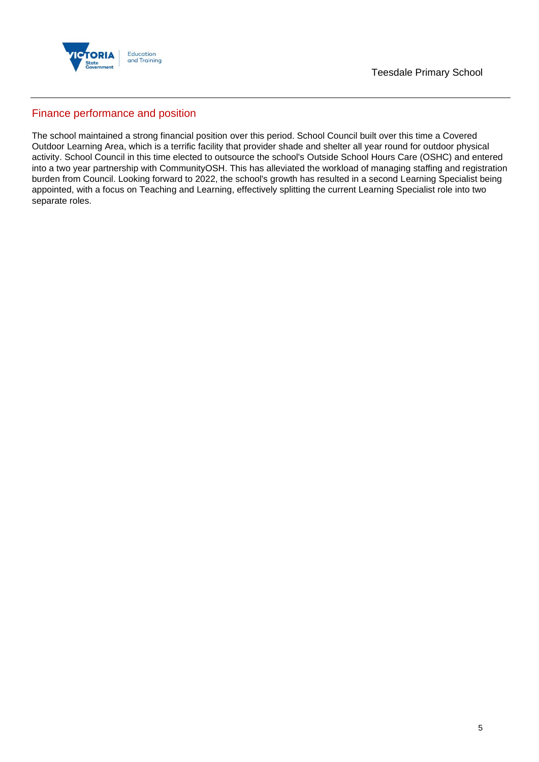

### Finance performance and position

The school maintained a strong financial position over this period. School Council built over this time a Covered Outdoor Learning Area, which is a terrific facility that provider shade and shelter all year round for outdoor physical activity. School Council in this time elected to outsource the school's Outside School Hours Care (OSHC) and entered into a two year partnership with CommunityOSH. This has alleviated the workload of managing staffing and registration burden from Council. Looking forward to 2022, the school's growth has resulted in a second Learning Specialist being appointed, with a focus on Teaching and Learning, effectively splitting the current Learning Specialist role into two separate roles.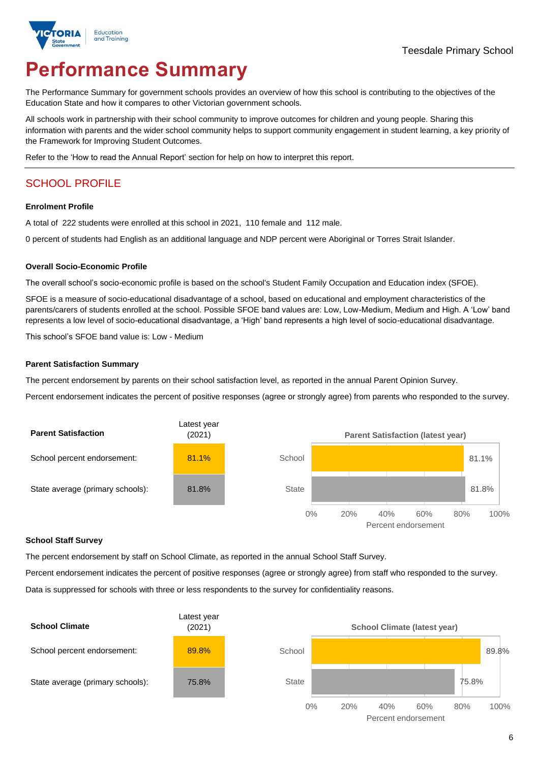

# **Performance Summary**

The Performance Summary for government schools provides an overview of how this school is contributing to the objectives of the Education State and how it compares to other Victorian government schools.

All schools work in partnership with their school community to improve outcomes for children and young people. Sharing this information with parents and the wider school community helps to support community engagement in student learning, a key priority of the Framework for Improving Student Outcomes.

Refer to the 'How to read the Annual Report' section for help on how to interpret this report.

## SCHOOL PROFILE

#### **Enrolment Profile**

A total of 222 students were enrolled at this school in 2021, 110 female and 112 male.

0 percent of students had English as an additional language and NDP percent were Aboriginal or Torres Strait Islander.

#### **Overall Socio-Economic Profile**

The overall school's socio-economic profile is based on the school's Student Family Occupation and Education index (SFOE).

SFOE is a measure of socio-educational disadvantage of a school, based on educational and employment characteristics of the parents/carers of students enrolled at the school. Possible SFOE band values are: Low, Low-Medium, Medium and High. A 'Low' band represents a low level of socio-educational disadvantage, a 'High' band represents a high level of socio-educational disadvantage.

This school's SFOE band value is: Low - Medium

#### **Parent Satisfaction Summary**

The percent endorsement by parents on their school satisfaction level, as reported in the annual Parent Opinion Survey.

Percent endorsement indicates the percent of positive responses (agree or strongly agree) from parents who responded to the survey.



#### **School Staff Survey**

The percent endorsement by staff on School Climate, as reported in the annual School Staff Survey.

Percent endorsement indicates the percent of positive responses (agree or strongly agree) from staff who responded to the survey.

Data is suppressed for schools with three or less respondents to the survey for confidentiality reasons.

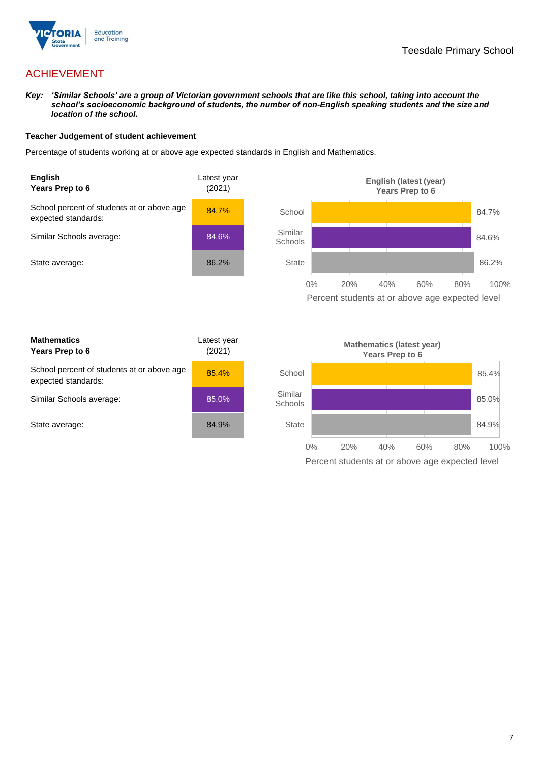

## ACHIEVEMENT

*Key: 'Similar Schools' are a group of Victorian government schools that are like this school, taking into account the school's socioeconomic background of students, the number of non-English speaking students and the size and location of the school.*

#### **Teacher Judgement of student achievement**

Percentage of students working at or above age expected standards in English and Mathematics.



Percent students at or above age expected level

| <b>Mathematics</b><br>Years Prep to 6                             | Latest year<br>(2021) |
|-------------------------------------------------------------------|-----------------------|
| School percent of students at or above age<br>expected standards: | 85.4%                 |
| Similar Schools average:                                          | 85.0%                 |
| State average:                                                    | 84.9%                 |

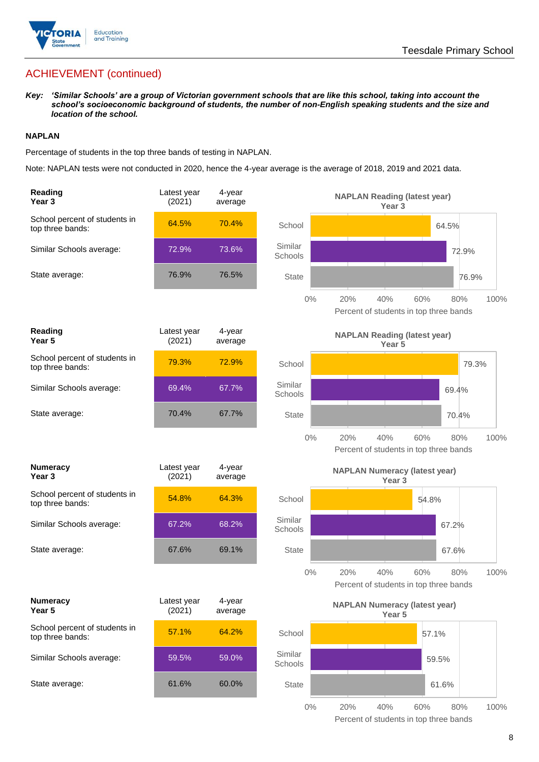

## ACHIEVEMENT (continued)

*Key: 'Similar Schools' are a group of Victorian government schools that are like this school, taking into account the school's socioeconomic background of students, the number of non-English speaking students and the size and location of the school.*

#### **NAPLAN**

Percentage of students in the top three bands of testing in NAPLAN.

Note: NAPLAN tests were not conducted in 2020, hence the 4-year average is the average of 2018, 2019 and 2021 data.

| Reading<br>Year 3                                 | Latest year<br>(2021) | 4-year<br>average |                    | <b>NAPLAN Reading (latest year)</b><br>Year <sub>3</sub>  |                    |
|---------------------------------------------------|-----------------------|-------------------|--------------------|-----------------------------------------------------------|--------------------|
| School percent of students in<br>top three bands: | 64.5%                 | 70.4%             | School             |                                                           | 64.5%              |
| Similar Schools average:                          | 72.9%                 | 73.6%             | Similar<br>Schools |                                                           | 72.9%              |
| State average:                                    | 76.9%                 | 76.5%             | <b>State</b>       |                                                           | 76.9%              |
|                                                   |                       |                   | $0\%$              | 20%<br>40%<br>Percent of students in top three bands      | 60%<br>100%<br>80% |
| Reading<br>Year 5                                 | Latest year<br>(2021) | 4-year<br>average |                    | <b>NAPLAN Reading (latest year)</b><br>Year <sub>5</sub>  |                    |
| School percent of students in<br>top three bands: | 79.3%                 | 72.9%             | School             |                                                           | 79.3%              |
| Similar Schools average:                          | 69.4%                 | 67.7%             | Similar<br>Schools |                                                           | 69.4%              |
| State average:                                    | 70.4%                 | 67.7%             | <b>State</b>       |                                                           | 70.4%              |
|                                                   |                       |                   | $0\%$              | 20%<br>40%<br>Percent of students in top three bands      | 60%<br>80%<br>100% |
|                                                   |                       |                   |                    |                                                           |                    |
| <b>Numeracy</b><br>Year 3                         | Latest year<br>(2021) | 4-year<br>average |                    | <b>NAPLAN Numeracy (latest year)</b><br>Year <sub>3</sub> |                    |
| School percent of students in<br>top three bands: | 54.8%                 | 64.3%             | School             |                                                           | 54.8%              |
| Similar Schools average:                          | 67.2%                 | 68.2%             | Similar<br>Schools |                                                           | 67.2%              |
| State average:                                    | 67.6%                 | 69.1%             | <b>State</b>       |                                                           | 67.6%              |
|                                                   |                       |                   | $0\%$              | 20%<br>40%<br>Percent of students in top three bands      | 60%<br>80%<br>100% |
| <b>Numeracy</b><br>Year 5                         | Latest year<br>(2021) | 4-year<br>average |                    | <b>NAPLAN Numeracy (latest year)</b><br>Year 5            |                    |
| School percent of students in<br>top three bands: | 57.1%                 | 64.2%             | School             |                                                           | 57.1%              |
| Similar Schools average:                          | 59.5%                 | 59.0%             | Similar<br>Schools |                                                           | 59.5%              |
| State average:                                    | 61.6%                 | 60.0%             | <b>State</b>       |                                                           | 61.6%              |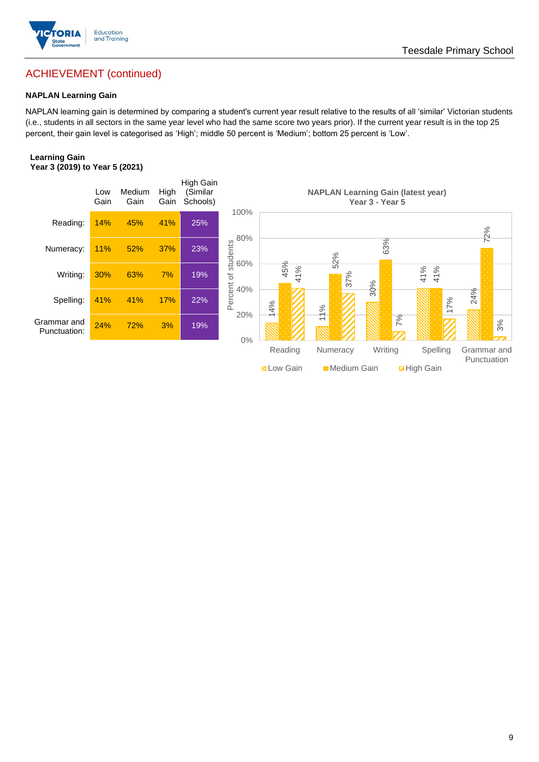

## ACHIEVEMENT (continued)

#### **NAPLAN Learning Gain**

NAPLAN learning gain is determined by comparing a student's current year result relative to the results of all 'similar' Victorian students (i.e., students in all sectors in the same year level who had the same score two years prior). If the current year result is in the top 25 percent, their gain level is categorised as 'High'; middle 50 percent is 'Medium'; bottom 25 percent is 'Low'.

#### **Learning Gain Year 3 (2019) to Year 5 (2021)**

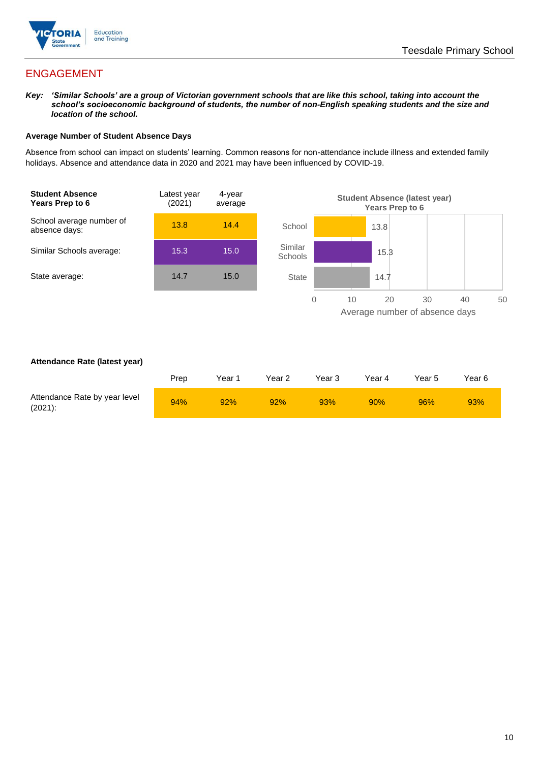

## ENGAGEMENT

*Key: 'Similar Schools' are a group of Victorian government schools that are like this school, taking into account the school's socioeconomic background of students, the number of non-English speaking students and the size and location of the school.*

#### **Average Number of Student Absence Days**

Absence from school can impact on students' learning. Common reasons for non-attendance include illness and extended family holidays. Absence and attendance data in 2020 and 2021 may have been influenced by COVID-19.



#### **Attendance Rate (latest year)**

|                                             | Prep | Year 1 | Year 2 | Year 3 | Year 4 | Year 5 | Year 6 |
|---------------------------------------------|------|--------|--------|--------|--------|--------|--------|
| Attendance Rate by year level<br>$(2021)$ : | 94%  | 92%    | 92%    | 93%    | 90%    | 96%    | 93%    |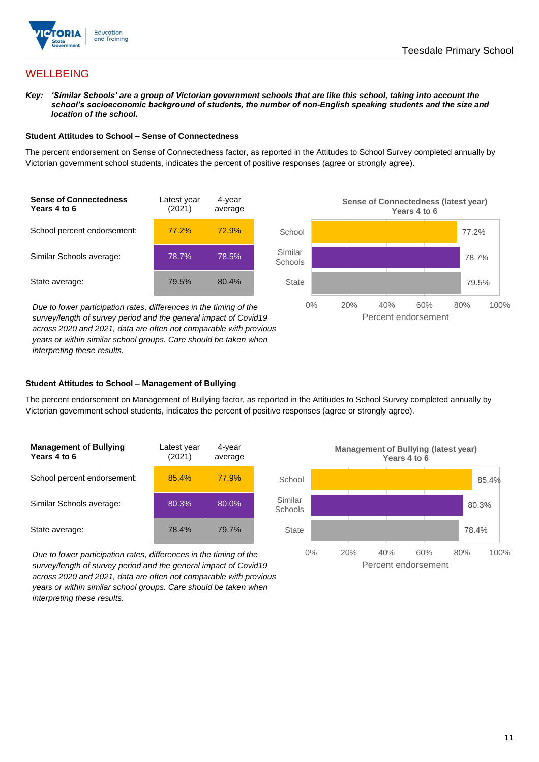

## **WELLBEING**

*Key: 'Similar Schools' are a group of Victorian government schools that are like this school, taking into account the school's socioeconomic background of students, the number of non-English speaking students and the size and location of the school.*

#### **Student Attitudes to School – Sense of Connectedness**

The percent endorsement on Sense of Connectedness factor, as reported in the Attitudes to School Survey completed annually by Victorian government school students, indicates the percent of positive responses (agree or strongly agree).



*Due to lower participation rates, differences in the timing of the survey/length of survey period and the general impact of Covid19 across 2020 and 2021, data are often not comparable with previous years or within similar school groups. Care should be taken when interpreting these results.*



#### **Student Attitudes to School – Management of Bullying**

The percent endorsement on Management of Bullying factor, as reported in the Attitudes to School Survey completed annually by Victorian government school students, indicates the percent of positive responses (agree or strongly agree).

| <b>Management of Bullying</b><br>Years 4 to 6 | Latest year<br>(2021) | 4-year<br>average |  |
|-----------------------------------------------|-----------------------|-------------------|--|
| School percent endorsement:                   | 85.4%                 | 77.9%             |  |
| Similar Schools average:                      | 80.3%                 | 80.0%             |  |
| State average:                                | 78.4%                 | 79.7%             |  |

*Due to lower participation rates, differences in the timing of the survey/length of survey period and the general impact of Covid19 across 2020 and 2021, data are often not comparable with previous years or within similar school groups. Care should be taken when interpreting these results.*

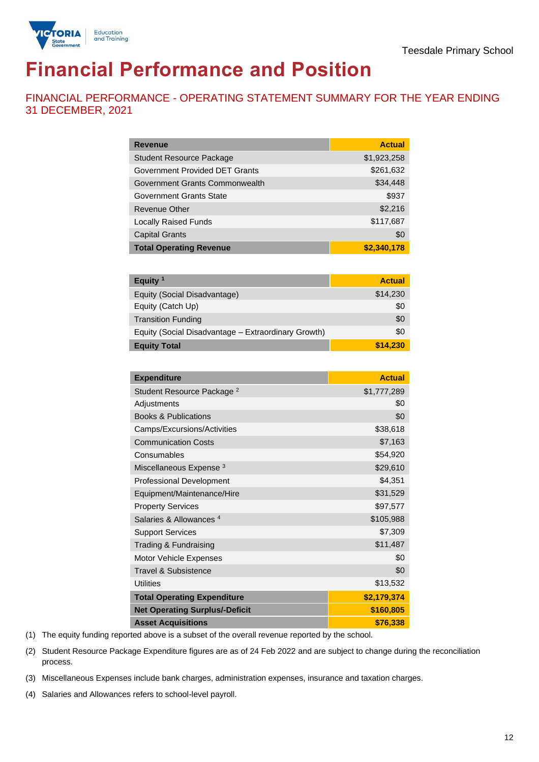

# **Financial Performance and Position**

FINANCIAL PERFORMANCE - OPERATING STATEMENT SUMMARY FOR THE YEAR ENDING 31 DECEMBER, 2021

| <b>Revenue</b>                  | <b>Actual</b> |
|---------------------------------|---------------|
| <b>Student Resource Package</b> | \$1,923,258   |
| Government Provided DET Grants  | \$261,632     |
| Government Grants Commonwealth  | \$34,448      |
| Government Grants State         | \$937         |
| Revenue Other                   | \$2,216       |
| <b>Locally Raised Funds</b>     | \$117,687     |
| <b>Capital Grants</b>           | \$0           |
| <b>Total Operating Revenue</b>  | \$2,340,178   |

| Equity $1$                                          | <b>Actual</b> |
|-----------------------------------------------------|---------------|
| Equity (Social Disadvantage)                        | \$14,230      |
| Equity (Catch Up)                                   | \$0           |
| <b>Transition Funding</b>                           | \$0           |
| Equity (Social Disadvantage - Extraordinary Growth) | \$0           |
| <b>Equity Total</b>                                 | \$14,230      |

| <b>Expenditure</b>                    | <b>Actual</b> |
|---------------------------------------|---------------|
| Student Resource Package <sup>2</sup> | \$1,777,289   |
| Adjustments                           | \$0           |
| <b>Books &amp; Publications</b>       | \$0           |
| Camps/Excursions/Activities           | \$38,618      |
| <b>Communication Costs</b>            | \$7,163       |
| Consumables                           | \$54,920      |
| Miscellaneous Expense <sup>3</sup>    | \$29,610      |
| <b>Professional Development</b>       | \$4,351       |
| Equipment/Maintenance/Hire            | \$31,529      |
| <b>Property Services</b>              | \$97,577      |
| Salaries & Allowances <sup>4</sup>    | \$105,988     |
| <b>Support Services</b>               | \$7,309       |
| Trading & Fundraising                 | \$11,487      |
| Motor Vehicle Expenses                | \$0           |
| Travel & Subsistence                  | \$0           |
| <b>Utilities</b>                      | \$13,532      |
| <b>Total Operating Expenditure</b>    | \$2,179,374   |
| <b>Net Operating Surplus/-Deficit</b> | \$160,805     |
| <b>Asset Acquisitions</b>             | \$76,338      |

(1) The equity funding reported above is a subset of the overall revenue reported by the school.

(2) Student Resource Package Expenditure figures are as of 24 Feb 2022 and are subject to change during the reconciliation process.

(3) Miscellaneous Expenses include bank charges, administration expenses, insurance and taxation charges.

(4) Salaries and Allowances refers to school-level payroll.